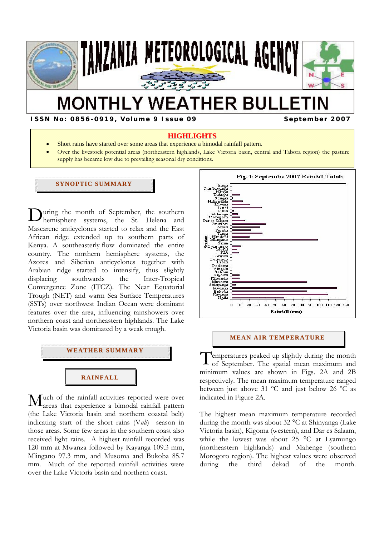

# **MONTHLY WEATHER BULLETIN**

**ISSN No: 0856-0919, Volume 9 Issue 09 September 2007** 

# **HIGHLIGHTS**

- Short rains have started over some areas that experience a bimodal rainfall pattern.
- Over the livestock potential areas (northeastern highlands, Lake Victoria basin, central and Tabora region) the pasture supply has became low due to prevailing seasonal dry conditions.

# **SYNOPTIC SUMMARY**

**D**uring the month of September, the southern<br>hemisphere systems, the St. Helena and hemisphere systems, the St. Helena and Mascarene anticyclones started to relax and the East African ridge extended up to southern parts of Kenya. A southeasterly flow dominated the entire country. The northern hemisphere systems, the Azores and Siberian anticyclones together with Arabian ridge started to intensify, thus slightly displacing southwards the Inter-Tropical Convergence Zone (ITCZ). The Near Equatorial Trough (NET) and warm Sea Surface Temperatures (SSTs) over northwest Indian Ocean were dominant features over the area, influencing rainshowers over northern coast and northeastern highlands. The Lake Victoria basin was dominated by a weak trough.



 $\mathbf{M}$ uch of the rainfall activities reported were over a bimodal rainfall pattern areas that experience a bimodal rainfall pattern (the Lake Victoria basin and northern coastal belt) indicating start of the short rains (V*uli*) season in those areas. Some few areas in the southern coast also received light rains. A highest rainfall recorded was 120 mm at Mwanza followed by Kayanga 109.3 mm, Mlingano 97.3 mm, and Musoma and Bukoba 85.7 mm. Much of the reported rainfall activities were over the Lake Victoria basin and northern coast.



## **MEAN AIR TEMPERATURE**

emperatures peaked up slightly during the month of September. The spatial mean maximum and minimum values are shown in Figs. 2A and 2B respectively. The mean maximum temperature ranged between just above 31 ºC and just below 26 ºC as indicated in Figure 2A. T

The highest mean maximum temperature recorded during the month was about 32 °C at Shinyanga (Lake Victoria basin), Kigoma (western), and Dar es Salaam, while the lowest was about 25 °C at Lyamungo (northeastern highlands) and Mahenge (southern Morogoro region). The highest values were observed during the third dekad of the month.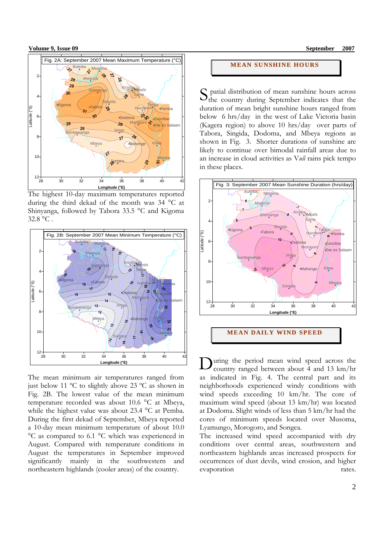

The highest 10-day maximum temperatures reported during the third dekad of the month was 34 °C at Shinyanga, followed by Tabora 33.5 °C and Kigoma 32.8 °C .



The mean minimum air temperatures ranged from just below 11 ºC to slightly above 23 ºC as shown in Fig. 2B. The lowest value of the mean minimum temperature recorded was about 10.6 °C at Mbeya, while the highest value was about 23.4 °C at Pemba. During the first dekad of September, Mbeya reported a 10-day mean minimum temperature of about 10.0 °C as compared to 6.1 °C which was experienced in August. Compared with temperature conditions in August the temperatures in September improved significantly mainly in the southwestern and northeastern highlands (cooler areas) of the country.

# **MEAN SUNSHINE HOURS**

 patial distribution of mean sunshine hours across S patial distribution of mean sunshine hours across<br>the country during September indicates that the duration of mean bright sunshine hours ranged from below 6 hrs/day in the west of Lake Victoria basin (Kagera region) to above 10 hrs/day over parts of Tabora, Singida, Dodoma, and Mbeya regions as shown in Fig. 3. Shorter durations of sunshine are likely to continue over bimodal rainfall areas due to an increase in cloud activities as V*uli* rains pick tempo in these places.



**MEAN DAILY WI ND SPEED**

uring the period mean wind speed across the country ranged between about 4 and 13 km/hr as indicated in Fig. 4. The central part and its neighborhoods experienced windy conditions with wind speeds exceeding 10 km/hr. The core of maximum wind speed (about 13 km/hr) was located at Dodoma. Slight winds of less than 5 km/hr had the cores of minimum speeds located over Musoma, Lyamungo, Morogoro, and Songea. D

The increased wind speed accompanied with dry conditions over central areas, southwestern and northeastern highlands areas increased prospects for occurrences of dust devils, wind erosion, and higher evaporation rates.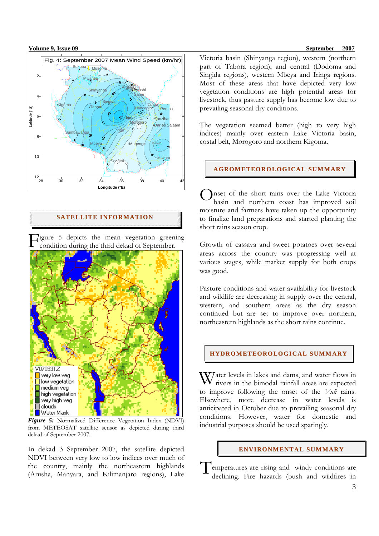

# **SATELLITE INFORMATION**

Figure 5 depicts the mean vegetation greening<br>condition during the third dekad of September. condition during the third dekad of September.



*Figure 5:* Normalized Difference Vegetation Index (NDVI) from METEOSAT satellite sensor as depicted during third dekad of September 2007.

In dekad 3 September 2007, the satellite depicted NDVI between very low to low indices over much of the country, mainly the northeastern highlands (Arusha, Manyara, and Kilimanjaro regions), Lake

# Victoria basin (Shinyanga region), western (northern part of Tabora region), and central (Dodoma and Singida regions), western Mbeya and Iringa regions. Most of these areas that have depicted very low vegetation conditions are high potential areas for livestock, thus pasture supply has become low due to prevailing seasonal dry conditions.

The vegetation seemed better (high to very high indices) mainly over eastern Lake Victoria basin, costal belt, Morogoro and northern Kigoma.

#### **AGROMETEOROLOGI CAL SUMMARY**

Onset of the short rains over the Lake Victoria<br>basin and northern coast has improved soil basin and northern coast has improved soil moisture and farmers have taken up the opportunity to finalize land preparations and started planting the short rains season crop.

Growth of cassava and sweet potatoes over several areas across the country was progressing well at various stages, while market supply for both crops was good.

Pasture conditions and water availability for livestock and wildlife are decreasing in supply over the central, western, and southern areas as the dry season continued but are set to improve over northern, northeastern highlands as the short rains continue.

#### **HYDROMETEOROLOGICAL SUMMARY**

 $\mathbf{W}$ ater levels in lakes and dams, and water flows in rivers in the bimodal rainfall areas are expected rivers in the bimodal rainfall areas are expected to improve following the onset of the *Vuli* rains. Elsewhere, more decrease in water levels is anticipated in October due to prevailing seasonal dry conditions. However, water for domestic and industrial purposes should be used sparingly.

## **ENVI RONMENTAL SUMMARY**

Temperatures are rising and windy conditions are<br>declining. Fire bazards (bush and wildfires in declining. Fire hazards (bush and wildfires in

#### **Volume 9, Issue 09** September 2007